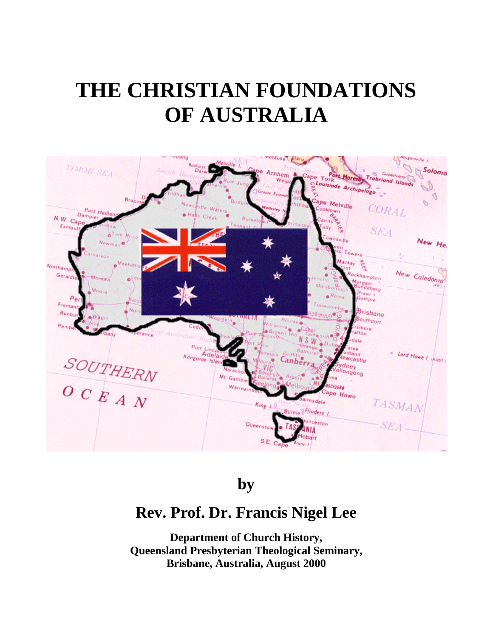

**by**

# **Rev. Prof. Dr. Francis Nigel Lee**

**Department of Church History, Queensland Presbyterian Theological Seminary, Brisbane, Australia, August 2000**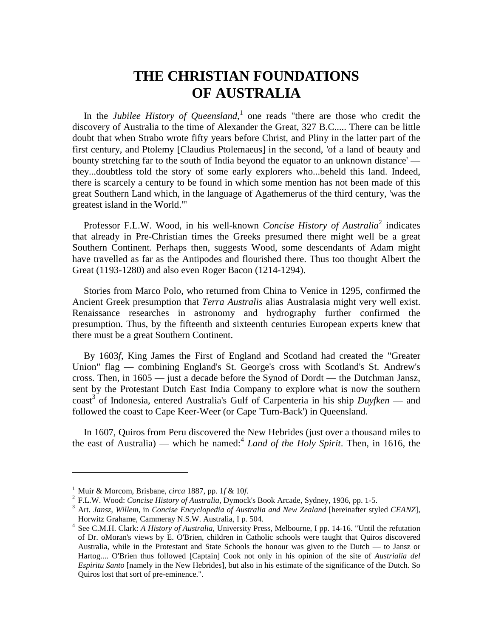In the *Jubilee History of Queensland*,<sup>1</sup> one reads "there are those who credit the discovery of Australia to the time of Alexander the Great, 327 B.C..... There can be little doubt that when Strabo wrote fifty years before Christ, and Pliny in the latter part of the first century, and Ptolemy [Claudius Ptolemaeus] in the second, 'of a land of beauty and bounty stretching far to the south of India beyond the equator to an unknown distance' they...doubtless told the story of some early explorers who...beheld this land. Indeed, there is scarcely a century to be found in which some mention has not been made of this great Southern Land which, in the language of Agathemerus of the third century, 'was the greatest island in the World.'"

Professor F.L.W. Wood, in his well-known *Concise History of Australia*<sup>2</sup> indicates that already in Pre-Christian times the Greeks presumed there might well be a great Southern Continent. Perhaps then, suggests Wood, some descendants of Adam might have travelled as far as the Antipodes and flourished there. Thus too thought Albert the Great (1193-1280) and also even Roger Bacon (1214-1294).

Stories from Marco Polo, who returned from China to Venice in 1295, confirmed the Ancient Greek presumption that *Terra Australis* alias Australasia might very well exist. Renaissance researches in astronomy and hydrography further confirmed the presumption. Thus, by the fifteenth and sixteenth centuries European experts knew that there must be a great Southern Continent.

By 1603*f*, King James the First of England and Scotland had created the "Greater Union" flag — combining England's St. George's cross with Scotland's St. Andrew's cross. Then, in 1605 — just a decade before the Synod of Dordt — the Dutchman Jansz, sent by the Protestant Dutch East India Company to explore what is now the southern coast<sup>3</sup> of Indonesia, entered Australia's Gulf of Carpenteria in his ship *Duyfken* — and followed the coast to Cape Keer-Weer (or Cape 'Turn-Back') in Queensland.

In 1607, Quiros from Peru discovered the New Hebrides (just over a thousand miles to the east of Australia) — which he named:<sup>4</sup> *Land of the Holy Spirit*. Then, in 1616, the

<sup>&</sup>lt;sup>1</sup> Muir & Morcom, Brisbane, *circa* 1887, pp. 1*f* & 10*f*.<br><sup>2</sup> F.L.W. Wood: *Concise History of Australia*, Dymock's Book Arcade, Sydney, 1936, pp. 1-5.<br><sup>3</sup> Art. Jansz, Willem, in *Concise Encyclopedia of Australia and* Horwitz Grahame, Cammeray N.S.W. Australia, I p. 504. <sup>4</sup> See C.M.H. Clark: *A History of Australia*, University Press, Melbourne, I pp. 14-16. "Until the refutation

of Dr. oMoran's views by E. O'Brien, children in Catholic schools were taught that Quiros discovered Australia, while in the Protestant and State Schools the honour was given to the Dutch — to Jansz or Hartog.... O'Brien thus followed [Captain] Cook not only in his opinion of the site of *Austrialia del Espiritu Santo* [namely in the New Hebrides], but also in his estimate of the significance of the Dutch. So Quiros lost that sort of pre-eminence.".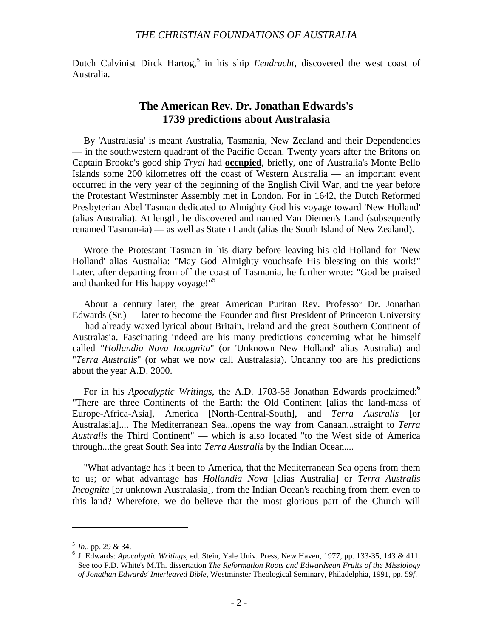Dutch Calvinist Dirck Hartog,<sup>5</sup> in his ship *Eendracht*, discovered the west coast of Australia.

# **The American Rev. Dr. Jonathan Edwards's 1739 predictions about Australasia**

By 'Australasia' is meant Australia, Tasmania, New Zealand and their Dependencies — in the southwestern quadrant of the Pacific Ocean. Twenty years after the Britons on Captain Brooke's good ship *Tryal* had **occupied**, briefly, one of Australia's Monte Bello Islands some 200 kilometres off the coast of Western Australia — an important event occurred in the very year of the beginning of the English Civil War, and the year before the Protestant Westminster Assembly met in London. For in 1642, the Dutch Reformed Presbyterian Abel Tasman dedicated to Almighty God his voyage toward 'New Holland' (alias Australia). At length, he discovered and named Van Diemen's Land (subsequently renamed Tasman-ia) — as well as Staten Landt (alias the South Island of New Zealand).

Wrote the Protestant Tasman in his diary before leaving his old Holland for 'New Holland' alias Australia: "May God Almighty vouchsafe His blessing on this work!" Later, after departing from off the coast of Tasmania, he further wrote: "God be praised and thanked for His happy voyage!"<sup>5</sup>

About a century later, the great American Puritan Rev. Professor Dr. Jonathan Edwards (Sr.) — later to become the Founder and first President of Princeton University — had already waxed lyrical about Britain, Ireland and the great Southern Continent of Australasia. Fascinating indeed are his many predictions concerning what he himself called *"Hollandia Nova Incognita*" (or 'Unknown New Holland' alias Australia) and "*Terra Australis*" (or what we now call Australasia). Uncanny too are his predictions about the year A.D. 2000.

For in his *Apocalyptic Writings*, the A.D. 1703-58 Jonathan Edwards proclaimed:<sup>6</sup> "There are three Continents of the Earth: the Old Continent [alias the land-mass of Europe-Africa-Asia], America [North-Central-South], and *Terra Australis* [or Australasia].... The Mediterranean Sea...opens the way from Canaan...straight to *Terra Australis* the Third Continent" — which is also located "to the West side of America through...the great South Sea into *Terra Australis* by the Indian Ocean....

"What advantage has it been to America, that the Mediterranean Sea opens from them to us; or what advantage has *Hollandia Nova* [alias Australia] or *Terra Australis Incognita* [or unknown Australasia], from the Indian Ocean's reaching from them even to this land? Wherefore, we do believe that the most glorious part of the Church will

 $5$  *Ib.*, pp. 29 & 34. 6 J. Edwards: *Apocalyptic Writings*, ed. Stein, Yale Univ. Press, New Haven, 1977, pp. 133-35, 143 & 411. See too F.D. White's M.Th. dissertation *The Reformation Roots and Edwardsean Fruits of the Missiology of Jonathan Edwards' Interleaved Bible*, Westminster Theological Seminary, Philadelphia, 1991, pp. 59*f*.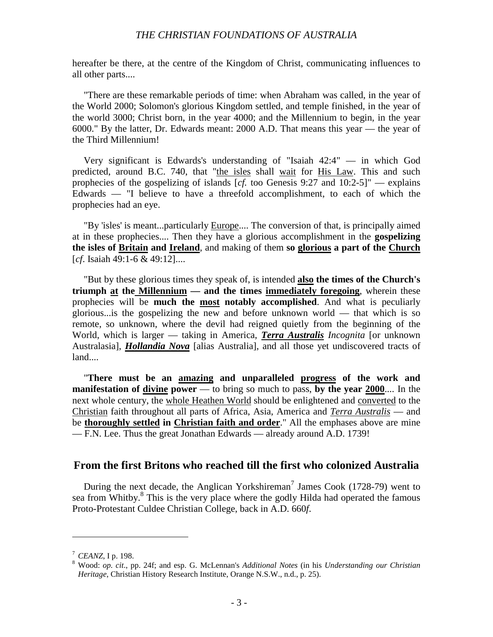hereafter be there, at the centre of the Kingdom of Christ, communicating influences to all other parts....

"There are these remarkable periods of time: when Abraham was called, in the year of the World 2000; Solomon's glorious Kingdom settled, and temple finished, in the year of the world 3000; Christ born, in the year 4000; and the Millennium to begin, in the year 6000." By the latter, Dr. Edwards meant: 2000 A.D. That means this year — the year of the Third Millennium!

Very significant is Edwards's understanding of "Isaiah 42:4" — in which God predicted, around B.C. 740, that "the isles shall wait for His Law. This and such prophecies of the gospelizing of islands [*cf.* too Genesis 9:27 and 10:2-5]" — explains Edwards — "I believe to have a threefold accomplishment, to each of which the prophecies had an eye.

"By 'isles' is meant...particularly Europe.... The conversion of that, is principally aimed at in these prophecies.... Then they have a glorious accomplishment in the **gospelizing the isles of Britain and Ireland**, and making of them **so glorious a part of the Church** [*cf*. Isaiah 49:1-6 & 49:12]....

"But by these glorious times they speak of, is intended **also the times of the Church's triumph at the Millennium — and the times immediately foregoing**, wherein these prophecies will be **much the most notably accomplished**. And what is peculiarly glorious...is the gospelizing the new and before unknown world — that which is so remote, so unknown, where the devil had reigned quietly from the beginning of the World, which is larger — taking in America, *Terra Australis Incognita* [or unknown Australasia], *Hollandia Nova* [alias Australia], and all those yet undiscovered tracts of land....

"**There must be an amazing and unparalleled progress of the work and manifestation of divine power** — to bring so much to pass, **by the year 2000**.... In the next whole century, the whole Heathen World should be enlightened and converted to the Christian faith throughout all parts of Africa, Asia, America and *Terra Australis* — and be **thoroughly settled in Christian faith and order**." All the emphases above are mine — F.N. Lee. Thus the great Jonathan Edwards — already around A.D. 1739!

#### **From the first Britons who reached till the first who colonized Australia**

During the next decade, the Anglican Yorkshireman<sup>7</sup> James Cook (1728-79) went to sea from Whitby.<sup>8</sup> This is the very place where the godly Hilda had operated the famous Proto-Protestant Culdee Christian College, back in A.D. 660*f*.

<sup>&</sup>lt;sup>7</sup> *CEANZ*, I p. 198.<br><sup>8</sup> Wood: *op. cit.*, pp. 24f; and esp. G. McLennan's *Additional Notes* (in his *Understanding our Christian Heritage*, Christian History Research Institute, Orange N.S.W., n.d., p. 25).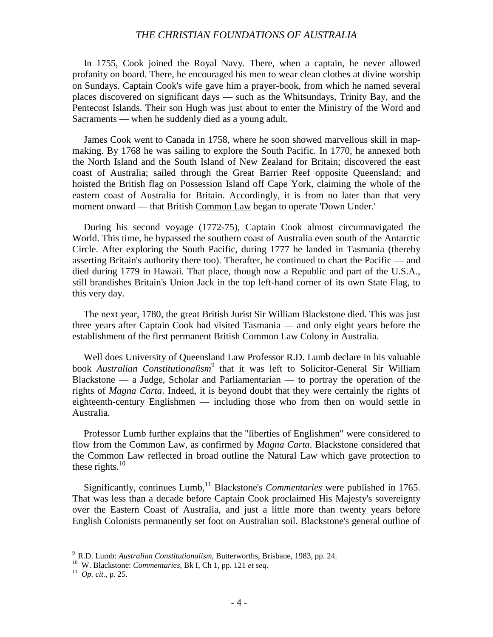In 1755, Cook joined the Royal Navy. There, when a captain, he never allowed profanity on board. There, he encouraged his men to wear clean clothes at divine worship on Sundays. Captain Cook's wife gave him a prayer-book, from which he named several places discovered on significant days — such as the Whitsundays, Trinity Bay, and the Pentecost Islands. Their son Hugh was just about to enter the Ministry of the Word and Sacraments — when he suddenly died as a young adult.

James Cook went to Canada in 1758, where he soon showed marvellous skill in mapmaking. By 1768 he was sailing to explore the South Pacific. In 1770, he annexed both the North Island and the South Island of New Zealand for Britain; discovered the east coast of Australia; sailed through the Great Barrier Reef opposite Queensland; and hoisted the British flag on Possession Island off Cape York, claiming the whole of the eastern coast of Australia for Britain. Accordingly, it is from no later than that very moment onward — that British Common Law began to operate 'Down Under.'

During his second voyage (1772-75), Captain Cook almost circumnavigated the World. This time, he bypassed the southern coast of Australia even south of the Antarctic Circle. After exploring the South Pacific, during 1777 he landed in Tasmania (thereby asserting Britain's authority there too). Therafter, he continued to chart the Pacific — and died during 1779 in Hawaii. That place, though now a Republic and part of the U.S.A., still brandishes Britain's Union Jack in the top left-hand corner of its own State Flag, to this very day.

The next year, 1780, the great British Jurist Sir William Blackstone died. This was just three years after Captain Cook had visited Tasmania — and only eight years before the establishment of the first permanent British Common Law Colony in Australia.

Well does University of Queensland Law Professor R.D. Lumb declare in his valuable book *Australian Constitutionalism*<sup>9</sup> that it was left to Solicitor-General Sir William Blackstone — a Judge, Scholar and Parliamentarian — to portray the operation of the rights of *Magna Carta*. Indeed, it is beyond doubt that they were certainly the rights of eighteenth-century Englishmen — including those who from then on would settle in Australia.

Professor Lumb further explains that the "liberties of Englishmen" were considered to flow from the Common Law, as confirmed by *Magna Carta*. Blackstone considered that the Common Law reflected in broad outline the Natural Law which gave protection to these rights. $10$ 

Significantly, continues Lumb,<sup>11</sup> Blackstone's *Commentaries* were published in 1765. That was less than a decade before Captain Cook proclaimed His Majesty's sovereignty over the Eastern Coast of Australia, and just a little more than twenty years before English Colonists permanently set foot on Australian soil. Blackstone's general outline of

<sup>9</sup> R.D. Lumb: *Australian Constitutionalism*, Butterworths, Brisbane, 1983, pp. 24. <sup>10</sup> W. Blackstone: *Commentaries*, Bk I, Ch 1, pp. 121 *et seq*. <sup>11</sup> *Op. cit.*, p. 25.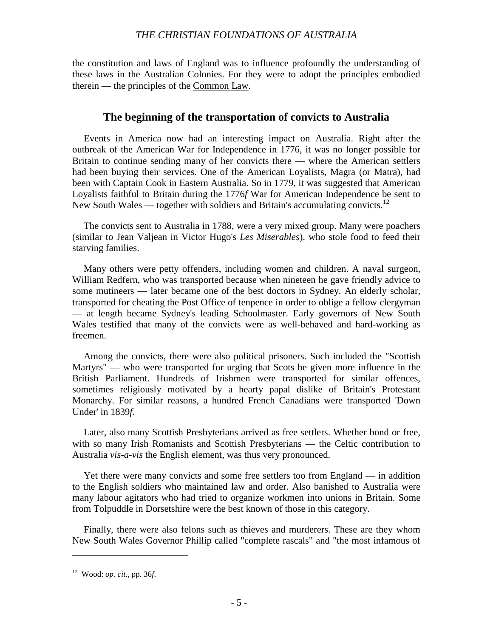the constitution and laws of England was to influence profoundly the understanding of these laws in the Australian Colonies. For they were to adopt the principles embodied therein — the principles of the Common Law.

#### **The beginning of the transportation of convicts to Australia**

Events in America now had an interesting impact on Australia. Right after the outbreak of the American War for Independence in 1776, it was no longer possible for Britain to continue sending many of her convicts there — where the American settlers had been buying their services. One of the American Loyalists, Magra (or Matra), had been with Captain Cook in Eastern Australia. So in 1779, it was suggested that American Loyalists faithful to Britain during the 1776*f* War for American Independence be sent to New South Wales — together with soldiers and Britain's accumulating convicts.<sup>12</sup>

The convicts sent to Australia in 1788, were a very mixed group. Many were poachers (similar to Jean Valjean in Victor Hugo's *Les Miserables*), who stole food to feed their starving families.

Many others were petty offenders, including women and children. A naval surgeon, William Redfern, who was transported because when nineteen he gave friendly advice to some mutineers — later became one of the best doctors in Sydney. An elderly scholar, transported for cheating the Post Office of tenpence in order to oblige a fellow clergyman — at length became Sydney's leading Schoolmaster. Early governors of New South Wales testified that many of the convicts were as well-behaved and hard-working as freemen.

Among the convicts, there were also political prisoners. Such included the "Scottish Martyrs" — who were transported for urging that Scots be given more influence in the British Parliament. Hundreds of Irishmen were transported for similar offences, sometimes religiously motivated by a hearty papal dislike of Britain's Protestant Monarchy. For similar reasons, a hundred French Canadians were transported 'Down Under' in 1839*f*.

Later, also many Scottish Presbyterians arrived as free settlers. Whether bond or free, with so many Irish Romanists and Scottish Presbyterians — the Celtic contribution to Australia *vis-a-vis* the English element, was thus very pronounced.

Yet there were many convicts and some free settlers too from England — in addition to the English soldiers who maintained law and order. Also banished to Australia were many labour agitators who had tried to organize workmen into unions in Britain. Some from Tolpuddle in Dorsetshire were the best known of those in this category.

Finally, there were also felons such as thieves and murderers. These are they whom New South Wales Governor Phillip called "complete rascals" and "the most infamous of

<sup>12</sup> Wood: *op. cit*., pp. 36*f*.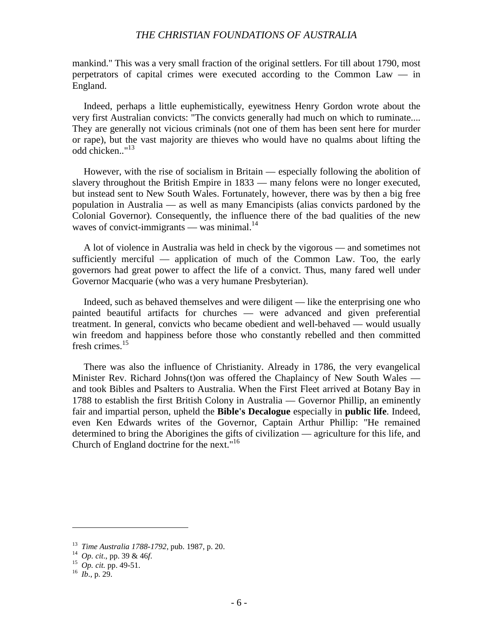mankind." This was a very small fraction of the original settlers. For till about 1790, most perpetrators of capital crimes were executed according to the Common Law — in England.

Indeed, perhaps a little euphemistically, eyewitness Henry Gordon wrote about the very first Australian convicts: "The convicts generally had much on which to ruminate.... They are generally not vicious criminals (not one of them has been sent here for murder or rape), but the vast majority are thieves who would have no qualms about lifting the odd chicken.."<sup>13</sup>

However, with the rise of socialism in Britain — especially following the abolition of slavery throughout the British Empire in 1833 — many felons were no longer executed, but instead sent to New South Wales. Fortunately, however, there was by then a big free population in Australia — as well as many Emancipists (alias convicts pardoned by the Colonial Governor). Consequently, the influence there of the bad qualities of the new waves of convict-immigrants — was minimal. $^{14}$ 

A lot of violence in Australia was held in check by the vigorous — and sometimes not sufficiently merciful — application of much of the Common Law. Too, the early governors had great power to affect the life of a convict. Thus, many fared well under Governor Macquarie (who was a very humane Presbyterian).

Indeed, such as behaved themselves and were diligent — like the enterprising one who painted beautiful artifacts for churches — were advanced and given preferential treatment. In general, convicts who became obedient and well-behaved — would usually win freedom and happiness before those who constantly rebelled and then committed fresh crimes.15

There was also the influence of Christianity. Already in 1786, the very evangelical Minister Rev. Richard Johns(t)on was offered the Chaplaincy of New South Wales and took Bibles and Psalters to Australia. When the First Fleet arrived at Botany Bay in 1788 to establish the first British Colony in Australia — Governor Phillip, an eminently fair and impartial person, upheld the **Bible's Decalogue** especially in **public life**. Indeed, even Ken Edwards writes of the Governor, Captain Arthur Phillip: "He remained determined to bring the Aborigines the gifts of civilization — agriculture for this life, and Church of England doctrine for the next."<sup>16</sup>

<sup>13</sup> *Time Australia 1788-1792*, pub. 1987, p. 20. <sup>14</sup> *Op. cit*., pp. 39 & 46*f*. <sup>15</sup> *Op. cit.* pp. 49-51. <sup>16</sup> *Ib*., p. 29.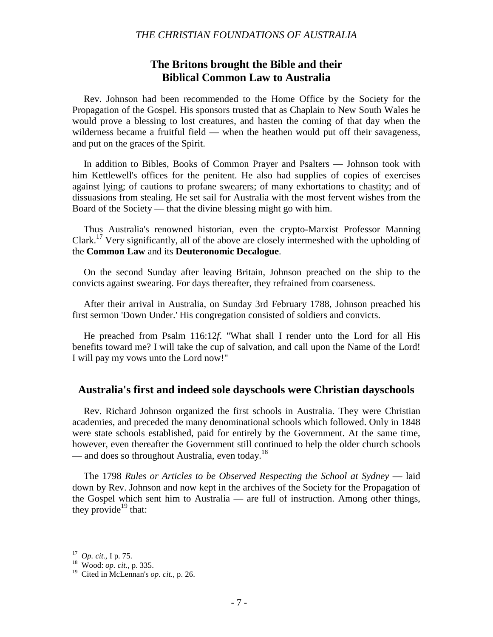# **The Britons brought the Bible and their Biblical Common Law to Australia**

Rev. Johnson had been recommended to the Home Office by the Society for the Propagation of the Gospel. His sponsors trusted that as Chaplain to New South Wales he would prove a blessing to lost creatures, and hasten the coming of that day when the wilderness became a fruitful field — when the heathen would put off their savageness, and put on the graces of the Spirit.

In addition to Bibles, Books of Common Prayer and Psalters — Johnson took with him Kettlewell's offices for the penitent. He also had supplies of copies of exercises against lying; of cautions to profane swearers; of many exhortations to chastity; and of dissuasions from stealing. He set sail for Australia with the most fervent wishes from the Board of the Society — that the divine blessing might go with him.

Thus Australia's renowned historian, even the crypto-Marxist Professor Manning Clark.17 Very significantly, all of the above are closely intermeshed with the upholding of the **Common Law** and its **Deuteronomic Decalogue**.

On the second Sunday after leaving Britain, Johnson preached on the ship to the convicts against swearing. For days thereafter, they refrained from coarseness.

After their arrival in Australia, on Sunday 3rd February 1788, Johnson preached his first sermon 'Down Under.' His congregation consisted of soldiers and convicts.

He preached from Psalm 116:12*f*. "What shall I render unto the Lord for all His benefits toward me? I will take the cup of salvation, and call upon the Name of the Lord! I will pay my vows unto the Lord now!"

### **Australia's first and indeed sole dayschools were Christian dayschools**

Rev. Richard Johnson organized the first schools in Australia. They were Christian academies, and preceded the many denominational schools which followed. Only in 1848 were state schools established, paid for entirely by the Government. At the same time, however, even thereafter the Government still continued to help the older church schools — and does so throughout Australia, even today.<sup>18</sup>

The 1798 *Rules or Articles to be Observed Respecting the School at Sydney* — laid down by Rev. Johnson and now kept in the archives of the Society for the Propagation of the Gospel which sent him to Australia — are full of instruction. Among other things, they provide<sup>19</sup> that:

<sup>17</sup> *Op. cit.*, I p. 75. <sup>18</sup> Wood: *op. cit.*, p. 335.

<sup>19</sup> Cited in McLennan's *op. cit.*, p. 26.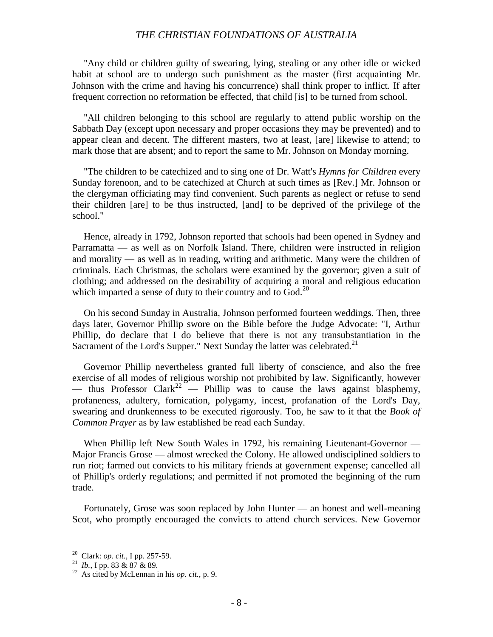"Any child or children guilty of swearing, lying, stealing or any other idle or wicked habit at school are to undergo such punishment as the master (first acquainting Mr. Johnson with the crime and having his concurrence) shall think proper to inflict. If after frequent correction no reformation be effected, that child [is] to be turned from school.

"All children belonging to this school are regularly to attend public worship on the Sabbath Day (except upon necessary and proper occasions they may be prevented) and to appear clean and decent. The different masters, two at least, [are] likewise to attend; to mark those that are absent; and to report the same to Mr. Johnson on Monday morning.

"The children to be catechized and to sing one of Dr. Watt's *Hymns for Children* every Sunday forenoon, and to be catechized at Church at such times as [Rev.] Mr. Johnson or the clergyman officiating may find convenient. Such parents as neglect or refuse to send their children [are] to be thus instructed, [and] to be deprived of the privilege of the school."

Hence, already in 1792, Johnson reported that schools had been opened in Sydney and Parramatta — as well as on Norfolk Island. There, children were instructed in religion and morality — as well as in reading, writing and arithmetic. Many were the children of criminals. Each Christmas, the scholars were examined by the governor; given a suit of clothing; and addressed on the desirability of acquiring a moral and religious education which imparted a sense of duty to their country and to God.<sup>20</sup>

On his second Sunday in Australia, Johnson performed fourteen weddings. Then, three days later, Governor Phillip swore on the Bible before the Judge Advocate: "I, Arthur Phillip, do declare that I do believe that there is not any transubstantiation in the Sacrament of the Lord's Supper." Next Sunday the latter was celebrated. $21$ 

Governor Phillip nevertheless granted full liberty of conscience, and also the free exercise of all modes of religious worship not prohibited by law. Significantly, however — thus Professor Clark<sup>22</sup> — Phillip was to cause the laws against blasphemy, profaneness, adultery, fornication, polygamy, incest, profanation of the Lord's Day, swearing and drunkenness to be executed rigorously. Too, he saw to it that the *Book of Common Prayer* as by law established be read each Sunday.

When Phillip left New South Wales in 1792, his remaining Lieutenant-Governor — Major Francis Grose — almost wrecked the Colony. He allowed undisciplined soldiers to run riot; farmed out convicts to his military friends at government expense; cancelled all of Phillip's orderly regulations; and permitted if not promoted the beginning of the rum trade.

Fortunately, Grose was soon replaced by John Hunter — an honest and well-meaning Scot, who promptly encouraged the convicts to attend church services. New Governor

<sup>20</sup> Clark: *op. cit.*, I pp. 257-59. <sup>21</sup> *Ib.*, I pp. 83 & 87 & 89. <sup>22</sup> As cited by McLennan in his *op. cit.*, p. 9.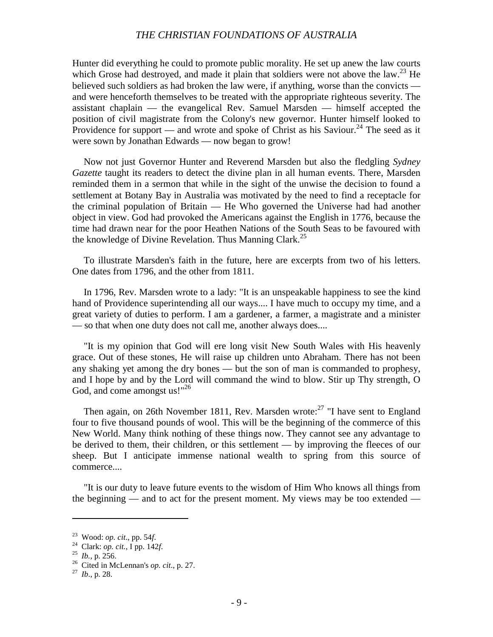Hunter did everything he could to promote public morality. He set up anew the law courts which Grose had destroyed, and made it plain that soldiers were not above the law.<sup>23</sup> He believed such soldiers as had broken the law were, if anything, worse than the convicts and were henceforth themselves to be treated with the appropriate righteous severity. The assistant chaplain — the evangelical Rev. Samuel Marsden — himself accepted the position of civil magistrate from the Colony's new governor. Hunter himself looked to Providence for support — and wrote and spoke of Christ as his Saviour.<sup>24</sup> The seed as it were sown by Jonathan Edwards — now began to grow!

Now not just Governor Hunter and Reverend Marsden but also the fledgling *Sydney Gazette* taught its readers to detect the divine plan in all human events. There, Marsden reminded them in a sermon that while in the sight of the unwise the decision to found a settlement at Botany Bay in Australia was motivated by the need to find a receptacle for the criminal population of Britain — He Who governed the Universe had had another object in view. God had provoked the Americans against the English in 1776, because the time had drawn near for the poor Heathen Nations of the South Seas to be favoured with the knowledge of Divine Revelation. Thus Manning Clark.<sup>25</sup>

To illustrate Marsden's faith in the future, here are excerpts from two of his letters. One dates from 1796, and the other from 1811.

In 1796, Rev. Marsden wrote to a lady: "It is an unspeakable happiness to see the kind hand of Providence superintending all our ways.... I have much to occupy my time, and a great variety of duties to perform. I am a gardener, a farmer, a magistrate and a minister — so that when one duty does not call me, another always does....

"It is my opinion that God will ere long visit New South Wales with His heavenly grace. Out of these stones, He will raise up children unto Abraham. There has not been any shaking yet among the dry bones — but the son of man is commanded to prophesy, and I hope by and by the Lord will command the wind to blow. Stir up Thy strength, O God, and come amongst us!"<sup>26</sup>

Then again, on 26th November 1811, Rev. Marsden wrote: $27$  "I have sent to England four to five thousand pounds of wool. This will be the beginning of the commerce of this New World. Many think nothing of these things now. They cannot see any advantage to be derived to them, their children, or this settlement — by improving the fleeces of our sheep. But I anticipate immense national wealth to spring from this source of commerce....

"It is our duty to leave future events to the wisdom of Him Who knows all things from the beginning — and to act for the present moment. My views may be too extended —

<sup>&</sup>lt;sup>23</sup> Wood: *op. cit.*, pp. 54*f.*<br><sup>24</sup> Clark: *op. cit.*, I pp. 142*f.*<br><sup>25</sup> *Ib.*, p. 256.<br><sup>26</sup> Cited in McLennan's *op. cit.*, p. 27.<br><sup>27</sup> *Ib.*, p. 28.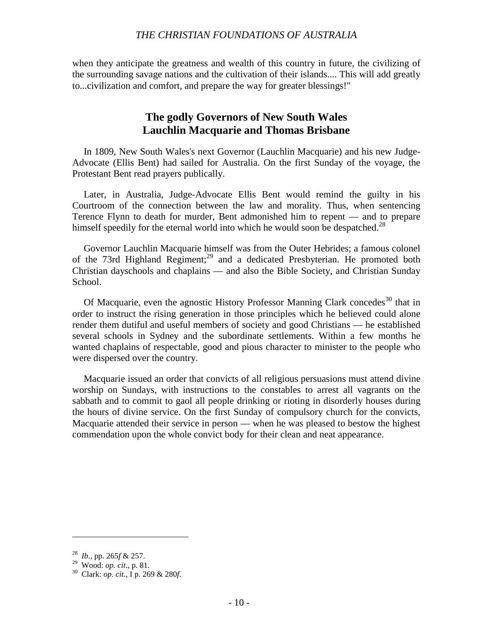when they anticipate the greatness and wealth of this country in future, the civilizing of the surrounding savage nations and the cultivation of their islands.... This will add greatly to...civilization and comfort, and prepare the way for greater blessings!"

# **The godly Governors of New South Wales Lauchlin Macquarie and Thomas Brisbane**

In 1809, New South Wales's next Governor (Lauchlin Macquarie) and his new Judge-Advocate (Ellis Bent) had sailed for Australia. On the first Sunday of the voyage, the Protestant Bent read prayers publically.

Later, in Australia, Judge-Advocate Ellis Bent would remind the guilty in his Courtroom of the connection between the law and morality. Thus, when sentencing Terence Flynn to death for murder, Bent admonished him to repent — and to prepare himself speedily for the eternal world into which he would soon be despatched.<sup>28</sup>

Governor Lauchlin Macquarie himself was from the Outer Hebrides; a famous colonel of the 73rd Highland Regiment;<sup>29</sup> and a dedicated Presbyterian. He promoted both Christian dayschools and chaplains — and also the Bible Society, and Christian Sunday School.

Of Macquarie, even the agnostic History Professor Manning Clark concedes<sup>30</sup> that in order to instruct the rising generation in those principles which he believed could alone render them dutiful and useful members of society and good Christians — he established several schools in Sydney and the subordinate settlements. Within a few months he wanted chaplains of respectable, good and pious character to minister to the people who were dispersed over the country.

Macquarie issued an order that convicts of all religious persuasions must attend divine worship on Sundays, with instructions to the constables to arrest all vagrants on the sabbath and to commit to gaol all people drinking or rioting in disorderly houses during the hours of divine service. On the first Sunday of compulsory church for the convicts, Macquarie attended their service in person — when he was pleased to bestow the highest commendation upon the whole convict body for their clean and neat appearance.

<sup>28</sup> *Ib*., pp. 265*f* & 257.

<sup>29</sup> Wood: *op. cit*., p. 81. <sup>30</sup> Clark: *op. cit.*, I p. 269 & 280*f*.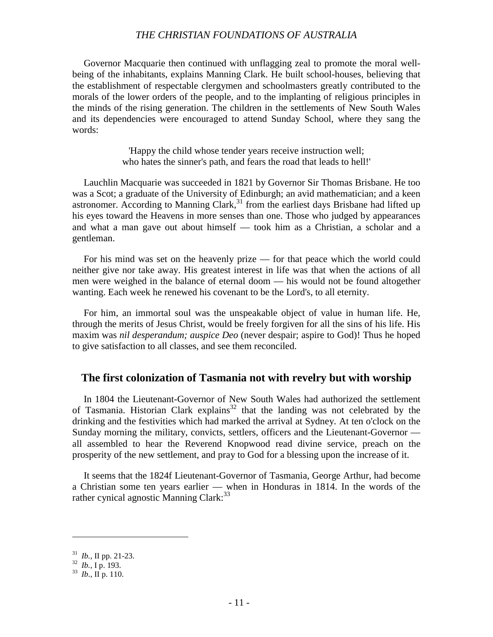Governor Macquarie then continued with unflagging zeal to promote the moral wellbeing of the inhabitants, explains Manning Clark. He built school-houses, believing that the establishment of respectable clergymen and schoolmasters greatly contributed to the morals of the lower orders of the people, and to the implanting of religious principles in the minds of the rising generation. The children in the settlements of New South Wales and its dependencies were encouraged to attend Sunday School, where they sang the words:

> 'Happy the child whose tender years receive instruction well; who hates the sinner's path, and fears the road that leads to hell!'

Lauchlin Macquarie was succeeded in 1821 by Governor Sir Thomas Brisbane. He too was a Scot; a graduate of the University of Edinburgh; an avid mathematician; and a keen astronomer. According to Manning Clark, $31$  from the earliest days Brisbane had lifted up his eyes toward the Heavens in more senses than one. Those who judged by appearances and what a man gave out about himself — took him as a Christian, a scholar and a gentleman.

For his mind was set on the heavenly prize — for that peace which the world could neither give nor take away. His greatest interest in life was that when the actions of all men were weighed in the balance of eternal doom — his would not be found altogether wanting. Each week he renewed his covenant to be the Lord's, to all eternity.

For him, an immortal soul was the unspeakable object of value in human life. He, through the merits of Jesus Christ, would be freely forgiven for all the sins of his life. His maxim was *nil desperandum; auspice Deo* (never despair; aspire to God)! Thus he hoped to give satisfaction to all classes, and see them reconciled.

#### **The first colonization of Tasmania not with revelry but with worship**

In 1804 the Lieutenant-Governor of New South Wales had authorized the settlement of Tasmania. Historian Clark explains<sup>32</sup> that the landing was not celebrated by the drinking and the festivities which had marked the arrival at Sydney. At ten o'clock on the Sunday morning the military, convicts, settlers, officers and the Lieutenant-Governor all assembled to hear the Reverend Knopwood read divine service, preach on the prosperity of the new settlement, and pray to God for a blessing upon the increase of it.

It seems that the 1824f Lieutenant-Governor of Tasmania, George Arthur, had become a Christian some ten years earlier — when in Honduras in 1814. In the words of the rather cynical agnostic Manning Clark:<sup>33</sup>

<sup>31</sup> *Ib.*, II pp. 21-23. <sup>32</sup> *Ib.*, I p. 193. <sup>33</sup> *Ib*., II p. 110.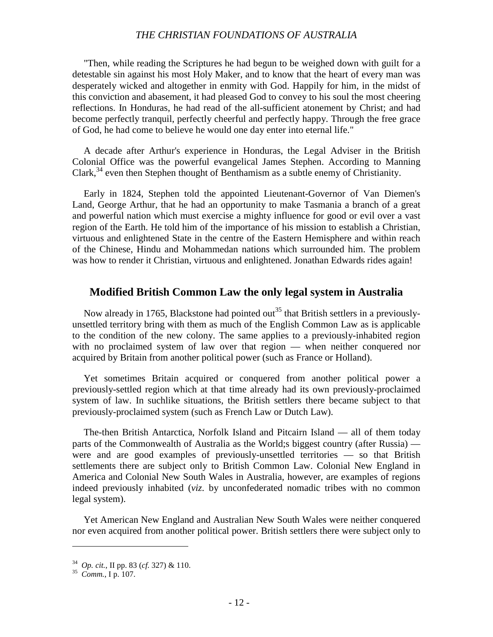"Then, while reading the Scriptures he had begun to be weighed down with guilt for a detestable sin against his most Holy Maker, and to know that the heart of every man was desperately wicked and altogether in enmity with God. Happily for him, in the midst of this conviction and abasement, it had pleased God to convey to his soul the most cheering reflections. In Honduras, he had read of the all-sufficient atonement by Christ; and had become perfectly tranquil, perfectly cheerful and perfectly happy. Through the free grace of God, he had come to believe he would one day enter into eternal life."

A decade after Arthur's experience in Honduras, the Legal Adviser in the British Colonial Office was the powerful evangelical James Stephen. According to Manning Clark,  $34$  even then Stephen thought of Benthamism as a subtle enemy of Christianity.

Early in 1824, Stephen told the appointed Lieutenant-Governor of Van Diemen's Land, George Arthur, that he had an opportunity to make Tasmania a branch of a great and powerful nation which must exercise a mighty influence for good or evil over a vast region of the Earth. He told him of the importance of his mission to establish a Christian, virtuous and enlightened State in the centre of the Eastern Hemisphere and within reach of the Chinese, Hindu and Mohammedan nations which surrounded him. The problem was how to render it Christian, virtuous and enlightened. Jonathan Edwards rides again!

#### **Modified British Common Law the only legal system in Australia**

Now already in 1765, Blackstone had pointed out<sup>35</sup> that British settlers in a previouslyunsettled territory bring with them as much of the English Common Law as is applicable to the condition of the new colony. The same applies to a previously-inhabited region with no proclaimed system of law over that region — when neither conquered nor acquired by Britain from another political power (such as France or Holland).

Yet sometimes Britain acquired or conquered from another political power a previously-settled region which at that time already had its own previously-proclaimed system of law. In suchlike situations, the British settlers there became subject to that previously-proclaimed system (such as French Law or Dutch Law).

The-then British Antarctica, Norfolk Island and Pitcairn Island — all of them today parts of the Commonwealth of Australia as the World;s biggest country (after Russia) were and are good examples of previously-unsettled territories — so that British settlements there are subject only to British Common Law. Colonial New England in America and Colonial New South Wales in Australia, however, are examples of regions indeed previously inhabited (*viz*. by unconfederated nomadic tribes with no common legal system).

Yet American New England and Australian New South Wales were neither conquered nor even acquired from another political power. British settlers there were subject only to

<sup>34</sup> *Op. cit.*, II pp. 83 (*cf.* 327) & 110. <sup>35</sup> *Comm.*, I p. 107.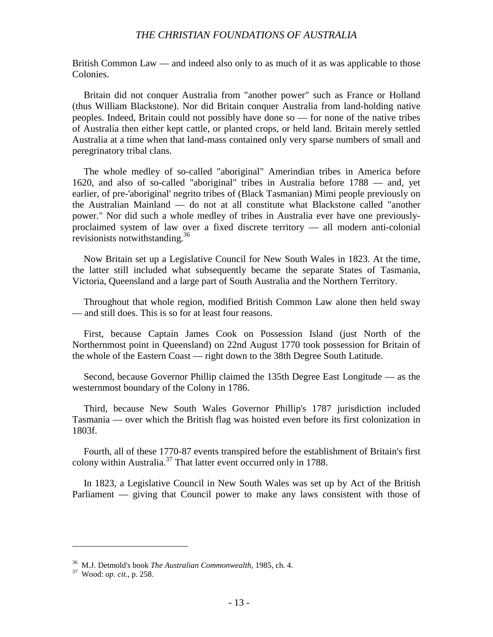British Common Law — and indeed also only to as much of it as was applicable to those Colonies.

Britain did not conquer Australia from "another power" such as France or Holland (thus William Blackstone). Nor did Britain conquer Australia from land-holding native peoples. Indeed, Britain could not possibly have done so — for none of the native tribes of Australia then either kept cattle, or planted crops, or held land. Britain merely settled Australia at a time when that land-mass contained only very sparse numbers of small and peregrinatory tribal clans.

The whole medley of so-called "aboriginal" Amerindian tribes in America before 1620, and also of so-called "aboriginal" tribes in Australia before 1788 — and, yet earlier, of pre-'aboriginal' negrito tribes of (Black Tasmanian) Mimi people previously on the Australian Mainland — do not at all constitute what Blackstone called "another power." Nor did such a whole medley of tribes in Australia ever have one previouslyproclaimed system of law over a fixed discrete territory — all modern anti-colonial revisionists notwithstanding.<sup>36</sup>

Now Britain set up a Legislative Council for New South Wales in 1823. At the time, the latter still included what subsequently became the separate States of Tasmania, Victoria, Queensland and a large part of South Australia and the Northern Territory.

Throughout that whole region, modified British Common Law alone then held sway — and still does. This is so for at least four reasons.

First, because Captain James Cook on Possession Island (just North of the Northernmost point in Queensland) on 22nd August 1770 took possession for Britain of the whole of the Eastern Coast — right down to the 38th Degree South Latitude.

Second, because Governor Phillip claimed the 135th Degree East Longitude — as the westernmost boundary of the Colony in 1786.

Third, because New South Wales Governor Phillip's 1787 jurisdiction included Tasmania — over which the British flag was hoisted even before its first colonization in 1803f.

Fourth, all of these 1770-87 events transpired before the establishment of Britain's first colony within Australia.<sup>37</sup> That latter event occurred only in 1788.

In 1823, a Legislative Council in New South Wales was set up by Act of the British Parliament — giving that Council power to make any laws consistent with those of

<sup>36</sup> M.J. Detmold's book *The Australian Commonwealth*, 1985, ch. 4. <sup>37</sup> Wood: *op. cit.*, p. 258.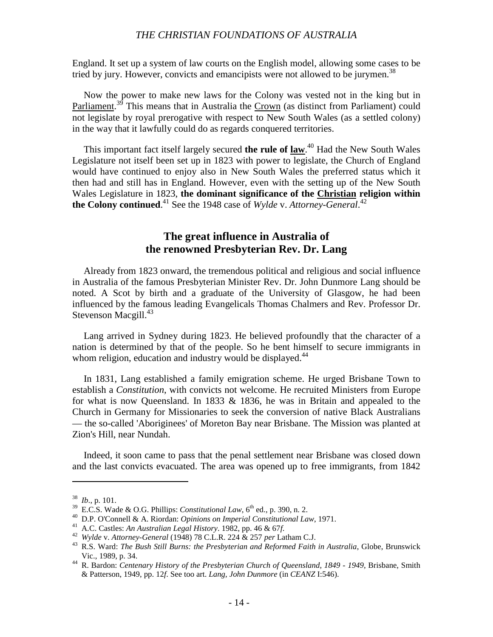England. It set up a system of law courts on the English model, allowing some cases to be tried by jury. However, convicts and emancipists were not allowed to be jurymen.<sup>38</sup>

Now the power to make new laws for the Colony was vested not in the king but in Parliament.<sup>39</sup> This means that in Australia the Crown (as distinct from Parliament) could not legislate by royal prerogative with respect to New South Wales (as a settled colony) in the way that it lawfully could do as regards conquered territories.

This important fact itself largely secured **the rule of law**. 40 Had the New South Wales Legislature not itself been set up in 1823 with power to legislate, the Church of England would have continued to enjoy also in New South Wales the preferred status which it then had and still has in England. However, even with the setting up of the New South Wales Legislature in 1823, **the dominant significance of the Christian religion within the Colony continued.**<sup>41</sup> See the 1948 case of *Wylde* v. Attorney-General.<sup>42</sup>

# **The great influence in Australia of the renowned Presbyterian Rev. Dr. Lang**

Already from 1823 onward, the tremendous political and religious and social influence in Australia of the famous Presbyterian Minister Rev. Dr. John Dunmore Lang should be noted. A Scot by birth and a graduate of the University of Glasgow, he had been influenced by the famous leading Evangelicals Thomas Chalmers and Rev. Professor Dr. Stevenson Macgill.<sup>43</sup>

Lang arrived in Sydney during 1823. He believed profoundly that the character of a nation is determined by that of the people. So he bent himself to secure immigrants in whom religion, education and industry would be displayed. $44$ 

In 1831, Lang established a family emigration scheme. He urged Brisbane Town to establish a *Constitution*, with convicts not welcome. He recruited Ministers from Europe for what is now Queensland. In 1833  $\&$  1836, he was in Britain and appealed to the Church in Germany for Missionaries to seek the conversion of native Black Australians — the so-called 'Aboriginees' of Moreton Bay near Brisbane. The Mission was planted at Zion's Hill, near Nundah.

Indeed, it soon came to pass that the penal settlement near Brisbane was closed down and the last convicts evacuated. The area was opened up to free immigrants, from 1842

<sup>&</sup>lt;sup>38</sup> *Ib.*, p. 101.<br><sup>39</sup> E.C.S. Wade & O.G. Phillips: *Constitutional Law*,  $6^{th}$  ed., p. 390, n. 2.

<sup>&</sup>lt;sup>40</sup> D.P. O'Connell & A. Riordan: *Opinions on Imperial Constitutional Law*, 1971.<br><sup>41</sup> A.C. Castles: *An Australian Legal History*. 1982, pp. 46 & 67*f*.<br><sup>42</sup> Wylde v. Attorney-General (1948) 78 C.L.R. 224 & 257 per Lath Vic., 1989, p. 34. <sup>44</sup> R. Bardon: *Centenary History of the Presbyterian Church of Queensland, 1849 - 1949*, Brisbane, Smith

<sup>&</sup>amp; Patterson, 1949, pp. 12*f*. See too art. *Lang, John Dunmore* (in *CEANZ* I:546).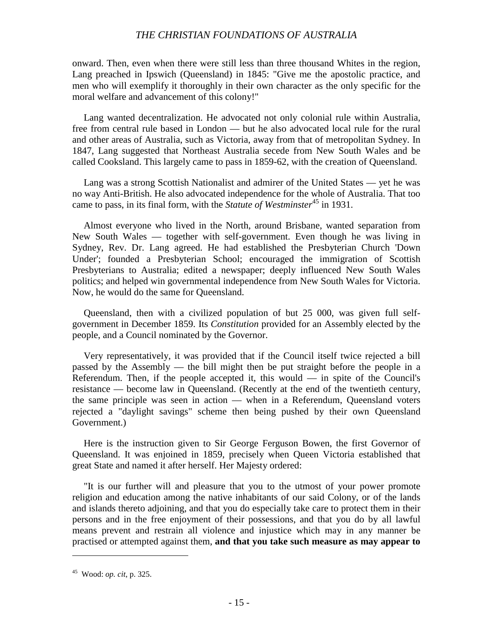onward. Then, even when there were still less than three thousand Whites in the region, Lang preached in Ipswich (Queensland) in 1845: "Give me the apostolic practice, and men who will exemplify it thoroughly in their own character as the only specific for the moral welfare and advancement of this colony!"

Lang wanted decentralization. He advocated not only colonial rule within Australia, free from central rule based in London — but he also advocated local rule for the rural and other areas of Australia, such as Victoria, away from that of metropolitan Sydney. In 1847, Lang suggested that Northeast Australia secede from New South Wales and be called Cooksland. This largely came to pass in 1859-62, with the creation of Queensland.

Lang was a strong Scottish Nationalist and admirer of the United States — yet he was no way Anti-British. He also advocated independence for the whole of Australia. That too came to pass, in its final form, with the *Statute of Westminster*<sup>45</sup> in 1931.

Almost everyone who lived in the North, around Brisbane, wanted separation from New South Wales — together with self-government. Even though he was living in Sydney, Rev. Dr. Lang agreed. He had established the Presbyterian Church 'Down Under'; founded a Presbyterian School; encouraged the immigration of Scottish Presbyterians to Australia; edited a newspaper; deeply influenced New South Wales politics; and helped win governmental independence from New South Wales for Victoria. Now, he would do the same for Queensland.

Queensland, then with a civilized population of but 25 000, was given full selfgovernment in December 1859. Its *Constitution* provided for an Assembly elected by the people, and a Council nominated by the Governor.

Very representatively, it was provided that if the Council itself twice rejected a bill passed by the Assembly — the bill might then be put straight before the people in a Referendum. Then, if the people accepted it, this would  $-$  in spite of the Council's resistance — become law in Queensland. (Recently at the end of the twentieth century, the same principle was seen in action — when in a Referendum, Queensland voters rejected a "daylight savings" scheme then being pushed by their own Queensland Government.)

Here is the instruction given to Sir George Ferguson Bowen, the first Governor of Queensland. It was enjoined in 1859, precisely when Queen Victoria established that great State and named it after herself. Her Majesty ordered:

"It is our further will and pleasure that you to the utmost of your power promote religion and education among the native inhabitants of our said Colony, or of the lands and islands thereto adjoining, and that you do especially take care to protect them in their persons and in the free enjoyment of their possessions, and that you do by all lawful means prevent and restrain all violence and injustice which may in any manner be practised or attempted against them, **and that you take such measure as may appear to**

<sup>45</sup> Wood: *op. cit*, p. 325.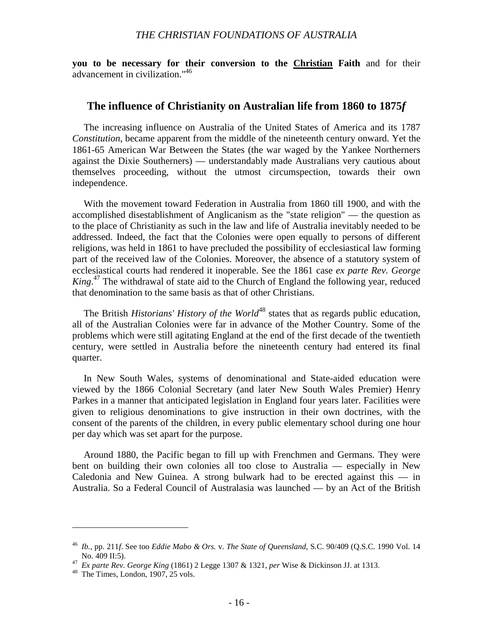**you to be necessary for their conversion to the Christian Faith** and for their advancement in civilization."46

#### **The influence of Christianity on Australian life from 1860 to 1875***f*

The increasing influence on Australia of the United States of America and its 1787 *Constitution*, became apparent from the middle of the nineteenth century onward. Yet the 1861-65 American War Between the States (the war waged by the Yankee Northerners against the Dixie Southerners) — understandably made Australians very cautious about themselves proceeding, without the utmost circumspection, towards their own independence.

With the movement toward Federation in Australia from 1860 till 1900, and with the accomplished disestablishment of Anglicanism as the "state religion" — the question as to the place of Christianity as such in the law and life of Australia inevitably needed to be addressed. Indeed, the fact that the Colonies were open equally to persons of different religions, was held in 1861 to have precluded the possibility of ecclesiastical law forming part of the received law of the Colonies. Moreover, the absence of a statutory system of ecclesiastical courts had rendered it inoperable. See the 1861 case *ex parte Rev. George King*. 47 The withdrawal of state aid to the Church of England the following year, reduced that denomination to the same basis as that of other Christians.

The British *Historians' History of the World*<sup>48</sup> states that as regards public education, all of the Australian Colonies were far in advance of the Mother Country. Some of the problems which were still agitating England at the end of the first decade of the twentieth century, were settled in Australia before the nineteenth century had entered its final quarter.

In New South Wales, systems of denominational and State-aided education were viewed by the 1866 Colonial Secretary (and later New South Wales Premier) Henry Parkes in a manner that anticipated legislation in England four years later. Facilities were given to religious denominations to give instruction in their own doctrines, with the consent of the parents of the children, in every public elementary school during one hour per day which was set apart for the purpose.

Around 1880, the Pacific began to fill up with Frenchmen and Germans. They were bent on building their own colonies all too close to Australia — especially in New Caledonia and New Guinea. A strong bulwark had to be erected against this  $-$  in Australia. So a Federal Council of Australasia was launched — by an Act of the British

<sup>46</sup> *Ib.*, pp. 211*f*. See too *Eddie Mabo & Ors.* v. *The State of Queensland*, S.C. 90/409 (Q.S.C. 1990 Vol. 14 No. 409 II:5). <sup>47</sup> *Ex parte Rev. George King* (1861) 2 Legge 1307 & 1321, *per* Wise & Dickinson JJ. at 1313. <sup>48</sup> The Times, London, 1907, 25 vols.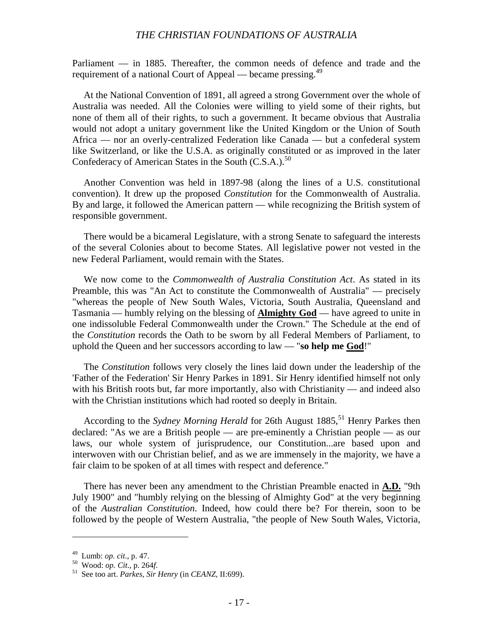Parliament — in 1885. Thereafter, the common needs of defence and trade and the requirement of a national Court of Appeal — became pressing.<sup>49</sup>

At the National Convention of 1891, all agreed a strong Government over the whole of Australia was needed. All the Colonies were willing to yield some of their rights, but none of them all of their rights, to such a government. It became obvious that Australia would not adopt a unitary government like the United Kingdom or the Union of South Africa — nor an overly-centralized Federation like Canada — but a confederal system like Switzerland, or like the U.S.A. as originally constituted or as improved in the later Confederacy of American States in the South (C.S.A.).<sup>50</sup>

Another Convention was held in 1897-98 (along the lines of a U.S. constitutional convention). It drew up the proposed *Constitution* for the Commonwealth of Australia. By and large, it followed the American pattern — while recognizing the British system of responsible government.

There would be a bicameral Legislature, with a strong Senate to safeguard the interests of the several Colonies about to become States. All legislative power not vested in the new Federal Parliament, would remain with the States.

We now come to the *Commonwealth of Australia Constitution Act*. As stated in its Preamble, this was "An Act to constitute the Commonwealth of Australia" — precisely "whereas the people of New South Wales, Victoria, South Australia, Queensland and Tasmania — humbly relying on the blessing of **Almighty God** — have agreed to unite in one indissoluble Federal Commonwealth under the Crown." The Schedule at the end of the *Constitution* records the Oath to be sworn by all Federal Members of Parliament, to uphold the Queen and her successors according to law — "**so help me God**!"

The *Constitution* follows very closely the lines laid down under the leadership of the 'Father of the Federation' Sir Henry Parkes in 1891. Sir Henry identified himself not only with his British roots but, far more importantly, also with Christianity — and indeed also with the Christian institutions which had rooted so deeply in Britain.

According to the *Sydney Morning Herald* for 26th August 1885,<sup>51</sup> Henry Parkes then declared: "As we are a British people — are pre-eminently a Christian people — as our laws, our whole system of jurisprudence, our Constitution...are based upon and interwoven with our Christian belief, and as we are immensely in the majority, we have a fair claim to be spoken of at all times with respect and deference."

There has never been any amendment to the Christian Preamble enacted in **A.D.** "9th July 1900" and "humbly relying on the blessing of Almighty God" at the very beginning of the *Australian Constitution*. Indeed, how could there be? For therein, soon to be followed by the people of Western Australia, "the people of New South Wales, Victoria,

<sup>49</sup> Lumb: *op. cit*., p. 47. <sup>50</sup> Wood: *op. Cit*., p. 264*f*. <sup>51</sup> See too art. *Parkes, Sir Henry* (in *CEANZ*, II:699).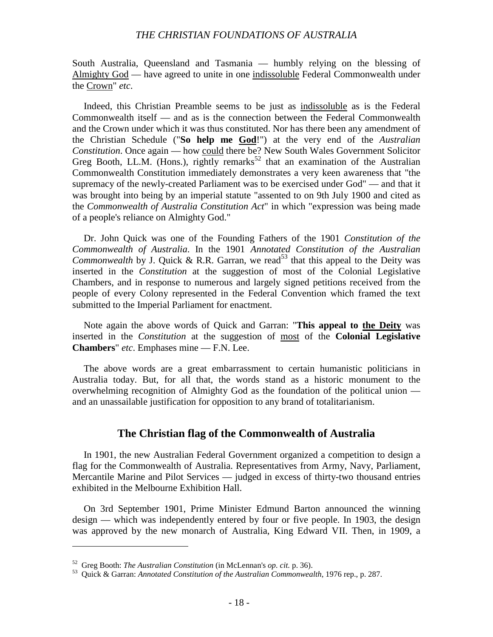South Australia, Queensland and Tasmania — humbly relying on the blessing of Almighty God — have agreed to unite in one indissoluble Federal Commonwealth under the Crown" *etc*.

Indeed, this Christian Preamble seems to be just as indissoluble as is the Federal Commonwealth itself — and as is the connection between the Federal Commonwealth and the Crown under which it was thus constituted. Nor has there been any amendment of the Christian Schedule ("**So help me God**!") at the very end of the *Australian Constitution*. Once again — how could there be? New South Wales Government Solicitor Greg Booth, LL.M. (Hons.), rightly remarks<sup>52</sup> that an examination of the Australian Commonwealth Constitution immediately demonstrates a very keen awareness that "the supremacy of the newly-created Parliament was to be exercised under God" — and that it was brought into being by an imperial statute "assented to on 9th July 1900 and cited as the *Commonwealth of Australia Constitution Act*" in which "expression was being made of a people's reliance on Almighty God."

Dr. John Quick was one of the Founding Fathers of the 1901 *Constitution of the Commonwealth of Australia*. In the 1901 *Annotated Constitution of the Australian Commonwealth* by J. Quick & R.R. Garran, we read<sup>53</sup> that this appeal to the Deity was inserted in the *Constitution* at the suggestion of most of the Colonial Legislative Chambers, and in response to numerous and largely signed petitions received from the people of every Colony represented in the Federal Convention which framed the text submitted to the Imperial Parliament for enactment.

Note again the above words of Quick and Garran: "**This appeal to the Deity** was inserted in the *Constitution* at the suggestion of most of the **Colonial Legislative Chambers**" *etc*. Emphases mine — F.N. Lee.

The above words are a great embarrassment to certain humanistic politicians in Australia today. But, for all that, the words stand as a historic monument to the overwhelming recognition of Almighty God as the foundation of the political union and an unassailable justification for opposition to any brand of totalitarianism.

#### **The Christian flag of the Commonwealth of Australia**

In 1901, the new Australian Federal Government organized a competition to design a flag for the Commonwealth of Australia. Representatives from Army, Navy, Parliament, Mercantile Marine and Pilot Services — judged in excess of thirty-two thousand entries exhibited in the Melbourne Exhibition Hall.

On 3rd September 1901, Prime Minister Edmund Barton announced the winning design — which was independently entered by four or five people. In 1903, the design was approved by the new monarch of Australia, King Edward VII. Then, in 1909, a

<sup>52</sup> Greg Booth: *The Australian Constitution* (in McLennan's *op. cit.* p. 36). <sup>53</sup> Quick & Garran: *Annotated Constitution of the Australian Commonwealth*, 1976 rep., p. 287.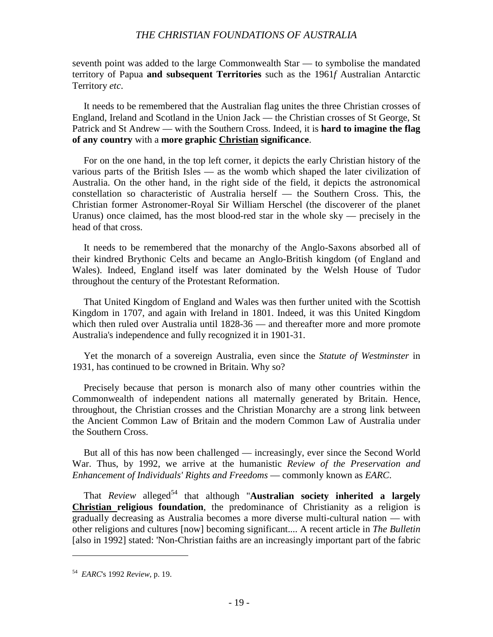seventh point was added to the large Commonwealth Star — to symbolise the mandated territory of Papua **and subsequent Territories** such as the 1961*f* Australian Antarctic Territory *etc*.

It needs to be remembered that the Australian flag unites the three Christian crosses of England, Ireland and Scotland in the Union Jack — the Christian crosses of St George, St Patrick and St Andrew — with the Southern Cross. Indeed, it is **hard to imagine the flag of any country** with a **more graphic Christian significance**.

For on the one hand, in the top left corner, it depicts the early Christian history of the various parts of the British Isles — as the womb which shaped the later civilization of Australia. On the other hand, in the right side of the field, it depicts the astronomical constellation so characteristic of Australia herself — the Southern Cross. This, the Christian former Astronomer-Royal Sir William Herschel (the discoverer of the planet Uranus) once claimed, has the most blood-red star in the whole sky — precisely in the head of that cross.

It needs to be remembered that the monarchy of the Anglo-Saxons absorbed all of their kindred Brythonic Celts and became an Anglo-British kingdom (of England and Wales). Indeed, England itself was later dominated by the Welsh House of Tudor throughout the century of the Protestant Reformation.

That United Kingdom of England and Wales was then further united with the Scottish Kingdom in 1707, and again with Ireland in 1801. Indeed, it was this United Kingdom which then ruled over Australia until 1828-36 — and thereafter more and more promote Australia's independence and fully recognized it in 1901-31.

Yet the monarch of a sovereign Australia, even since the *Statute of Westminster* in 1931, has continued to be crowned in Britain. Why so?

Precisely because that person is monarch also of many other countries within the Commonwealth of independent nations all maternally generated by Britain. Hence, throughout, the Christian crosses and the Christian Monarchy are a strong link between the Ancient Common Law of Britain and the modern Common Law of Australia under the Southern Cross.

But all of this has now been challenged — increasingly, ever since the Second World War. Thus, by 1992, we arrive at the humanistic *Review of the Preservation and Enhancement of Individuals' Rights and Freedoms* — commonly known as *EARC*.

That *Review* alleged<sup>54</sup> that although "**Australian society inherited a largely Christian religious foundation**, the predominance of Christianity as a religion is gradually decreasing as Australia becomes a more diverse multi-cultural nation — with other religions and cultures [now] becoming significant.... A recent article in *The Bulletin* [also in 1992] stated: 'Non-Christian faiths are an increasingly important part of the fabric

<sup>54</sup> *EARC*'s 1992 *Review*, p. 19.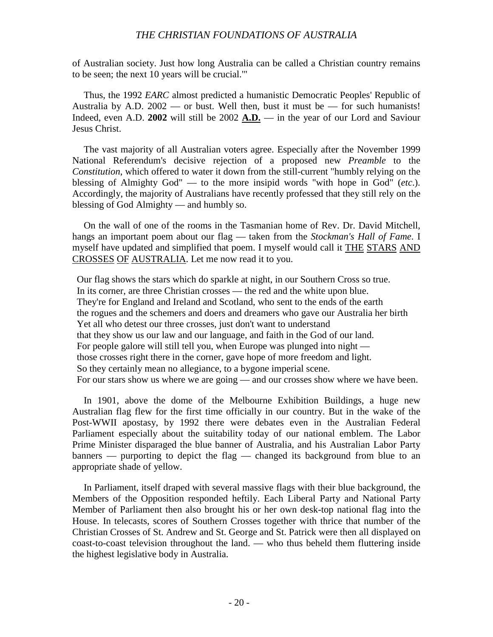of Australian society. Just how long Australia can be called a Christian country remains to be seen; the next 10 years will be crucial.'"

Thus, the 1992 *EARC* almost predicted a humanistic Democratic Peoples' Republic of Australia by A.D.  $2002$  — or bust. Well then, bust it must be — for such humanists! Indeed, even A.D. **2002** will still be 2002 **A.D.** — in the year of our Lord and Saviour Jesus Christ.

The vast majority of all Australian voters agree. Especially after the November 1999 National Referendum's decisive rejection of a proposed new *Preamble* to the *Constitution*, which offered to water it down from the still-current "humbly relying on the blessing of Almighty God" — to the more insipid words "with hope in God" (*etc*.). Accordingly, the majority of Australians have recently professed that they still rely on the blessing of God Almighty — and humbly so.

On the wall of one of the rooms in the Tasmanian home of Rev. Dr. David Mitchell, hangs an important poem about our flag — taken from the *Stockman's Hall of Fame*. I myself have updated and simplified that poem. I myself would call it THE STARS AND CROSSES OF AUSTRALIA. Let me now read it to you.

Our flag shows the stars which do sparkle at night, in our Southern Cross so true. In its corner, are three Christian crosses — the red and the white upon blue. They're for England and Ireland and Scotland, who sent to the ends of the earth the rogues and the schemers and doers and dreamers who gave our Australia her birth Yet all who detest our three crosses, just don't want to understand that they show us our law and our language, and faith in the God of our land. For people galore will still tell you, when Europe was plunged into night those crosses right there in the corner, gave hope of more freedom and light. So they certainly mean no allegiance, to a bygone imperial scene. For our stars show us where we are going — and our crosses show where we have been.

In 1901, above the dome of the Melbourne Exhibition Buildings, a huge new Australian flag flew for the first time officially in our country. But in the wake of the Post-WWII apostasy, by 1992 there were debates even in the Australian Federal Parliament especially about the suitability today of our national emblem. The Labor Prime Minister disparaged the blue banner of Australia, and his Australian Labor Party banners — purporting to depict the flag — changed its background from blue to an appropriate shade of yellow.

In Parliament, itself draped with several massive flags with their blue background, the Members of the Opposition responded heftily. Each Liberal Party and National Party Member of Parliament then also brought his or her own desk-top national flag into the House. In telecasts, scores of Southern Crosses together with thrice that number of the Christian Crosses of St. Andrew and St. George and St. Patrick were then all displayed on coast-to-coast television throughout the land. — who thus beheld them fluttering inside the highest legislative body in Australia.